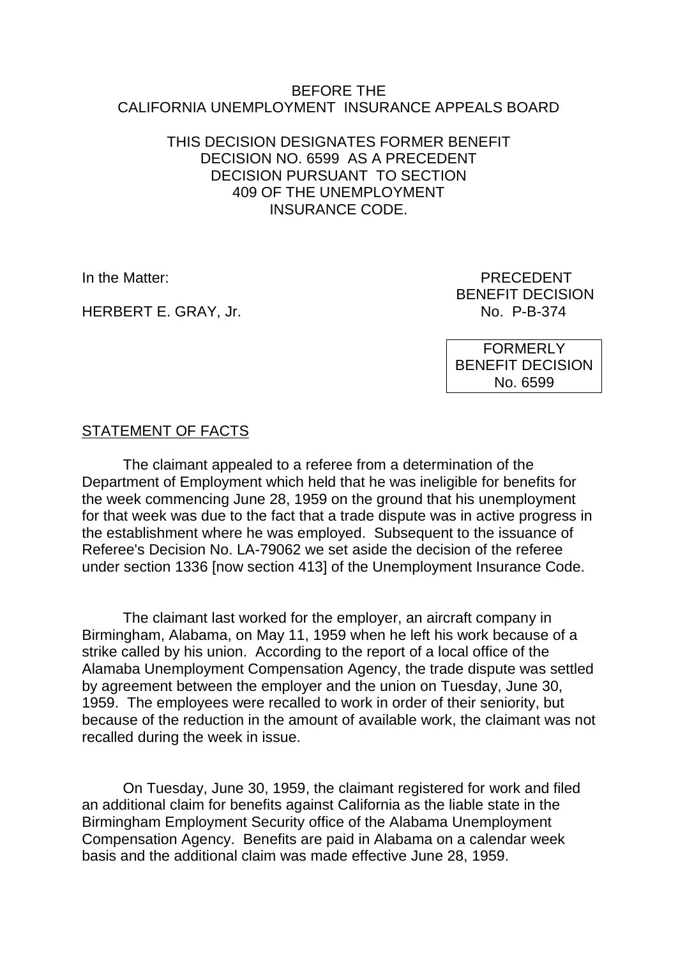#### BEFORE THE CALIFORNIA UNEMPLOYMENT INSURANCE APPEALS BOARD

### THIS DECISION DESIGNATES FORMER BENEFIT DECISION NO. 6599 AS A PRECEDENT DECISION PURSUANT TO SECTION 409 OF THE UNEMPLOYMENT INSURANCE CODE.

HERBERT E. GRAY, Jr. No. 2014 19:374

In the Matter: PRECEDENT BENEFIT DECISION

> **FORMERLY** BENEFIT DECISION No. 6599

# STATEMENT OF FACTS

The claimant appealed to a referee from a determination of the Department of Employment which held that he was ineligible for benefits for the week commencing June 28, 1959 on the ground that his unemployment for that week was due to the fact that a trade dispute was in active progress in the establishment where he was employed. Subsequent to the issuance of Referee's Decision No. LA-79062 we set aside the decision of the referee under section 1336 [now section 413] of the Unemployment Insurance Code.

The claimant last worked for the employer, an aircraft company in Birmingham, Alabama, on May 11, 1959 when he left his work because of a strike called by his union. According to the report of a local office of the Alamaba Unemployment Compensation Agency, the trade dispute was settled by agreement between the employer and the union on Tuesday, June 30, 1959. The employees were recalled to work in order of their seniority, but because of the reduction in the amount of available work, the claimant was not recalled during the week in issue.

On Tuesday, June 30, 1959, the claimant registered for work and filed an additional claim for benefits against California as the liable state in the Birmingham Employment Security office of the Alabama Unemployment Compensation Agency. Benefits are paid in Alabama on a calendar week basis and the additional claim was made effective June 28, 1959.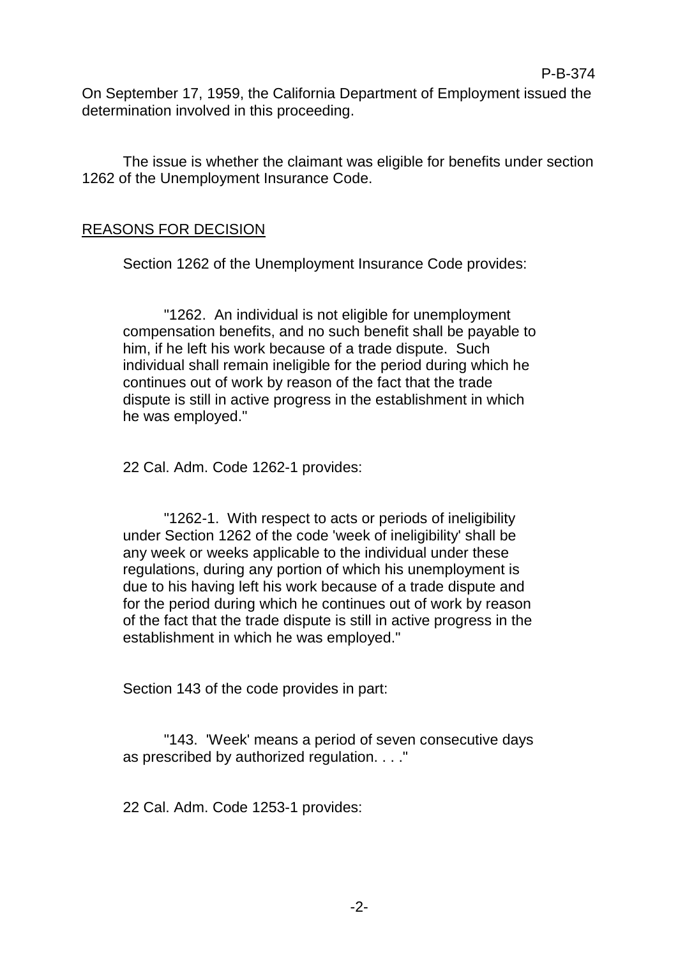On September 17, 1959, the California Department of Employment issued the determination involved in this proceeding.

P-B-374

The issue is whether the claimant was eligible for benefits under section 1262 of the Unemployment Insurance Code.

#### REASONS FOR DECISION

Section 1262 of the Unemployment Insurance Code provides:

"1262. An individual is not eligible for unemployment compensation benefits, and no such benefit shall be payable to him, if he left his work because of a trade dispute. Such individual shall remain ineligible for the period during which he continues out of work by reason of the fact that the trade dispute is still in active progress in the establishment in which he was employed."

22 Cal. Adm. Code 1262-1 provides:

"1262-1. With respect to acts or periods of ineligibility under Section 1262 of the code 'week of ineligibility' shall be any week or weeks applicable to the individual under these regulations, during any portion of which his unemployment is due to his having left his work because of a trade dispute and for the period during which he continues out of work by reason of the fact that the trade dispute is still in active progress in the establishment in which he was employed."

Section 143 of the code provides in part:

"143. 'Week' means a period of seven consecutive days as prescribed by authorized regulation. . . ."

22 Cal. Adm. Code 1253-1 provides:

-2-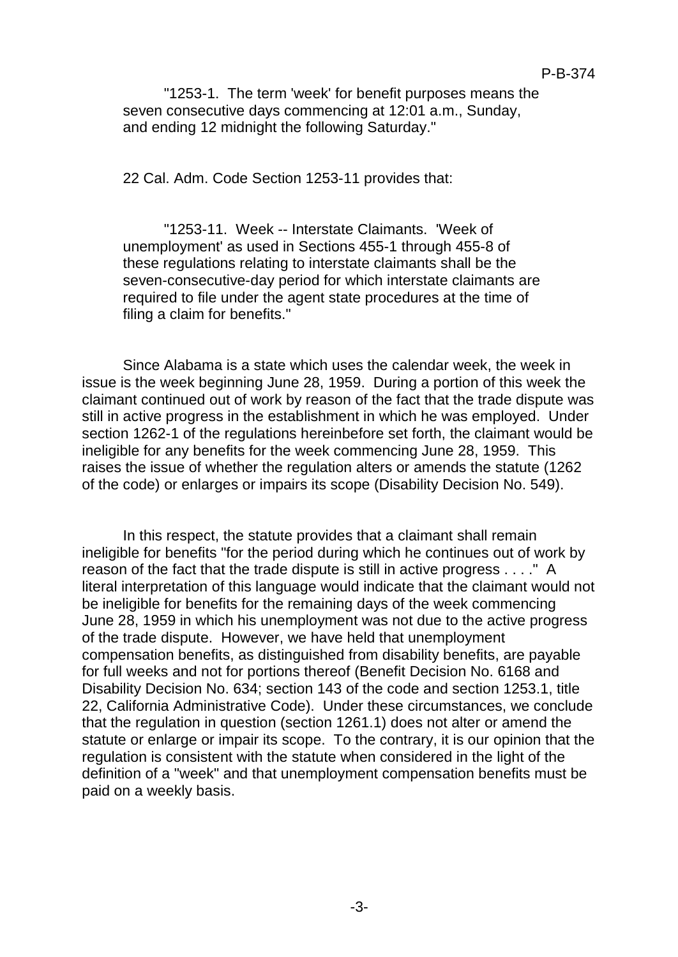"1253-1. The term 'week' for benefit purposes means the seven consecutive days commencing at 12:01 a.m., Sunday, and ending 12 midnight the following Saturday."

22 Cal. Adm. Code Section 1253-11 provides that:

"1253-11. Week -- Interstate Claimants. 'Week of unemployment' as used in Sections 455-1 through 455-8 of these regulations relating to interstate claimants shall be the seven-consecutive-day period for which interstate claimants are required to file under the agent state procedures at the time of filing a claim for benefits."

Since Alabama is a state which uses the calendar week, the week in issue is the week beginning June 28, 1959. During a portion of this week the claimant continued out of work by reason of the fact that the trade dispute was still in active progress in the establishment in which he was employed. Under section 1262-1 of the regulations hereinbefore set forth, the claimant would be ineligible for any benefits for the week commencing June 28, 1959. This raises the issue of whether the regulation alters or amends the statute (1262 of the code) or enlarges or impairs its scope (Disability Decision No. 549).

In this respect, the statute provides that a claimant shall remain ineligible for benefits "for the period during which he continues out of work by reason of the fact that the trade dispute is still in active progress . . . ." A literal interpretation of this language would indicate that the claimant would not be ineligible for benefits for the remaining days of the week commencing June 28, 1959 in which his unemployment was not due to the active progress of the trade dispute. However, we have held that unemployment compensation benefits, as distinguished from disability benefits, are payable for full weeks and not for portions thereof (Benefit Decision No. 6168 and Disability Decision No. 634; section 143 of the code and section 1253.1, title 22, California Administrative Code). Under these circumstances, we conclude that the regulation in question (section 1261.1) does not alter or amend the statute or enlarge or impair its scope. To the contrary, it is our opinion that the regulation is consistent with the statute when considered in the light of the definition of a "week" and that unemployment compensation benefits must be paid on a weekly basis.